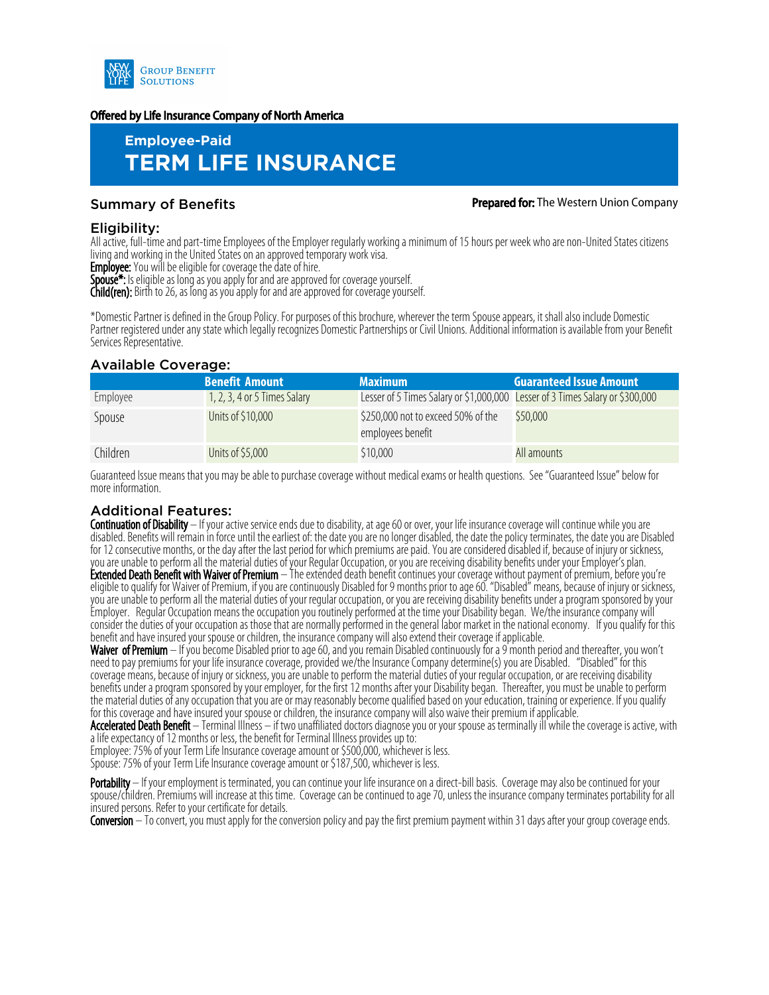

#### Offered by Life Insurance Company of North America

# **Employee-Paid TERM LIFE INSURANCE**

#### Summary of Benefits **Prepared for:** The Western Union Company

#### Eligibility:

All active, full-time and part-time Employees of the Employer regularly working a minimum of 15 hours per week who are non-United States citizens living and working in the United States on an approved temporary work visa.

**Employee:** You will be eligible for coverage the date of hire.

Spouse\*: Is eligible as long as you apply for and are approved for coverage yourself.

**Child(ren):** Birth to 26, as long as you apply for and are approved for coverage yourself.

\*Domestic Partner is defined in the Group Policy. For purposes of this brochure, wherever the term Spouse appears, it shall also include Domestic Partner registered under any state which legally recognizes Domestic Partnerships or Civil Unions. Additional information is available from your Benefit Services Representative.

# Available Coverage:

|          | <b>Benefit Amount</b>        | <b>Maximum</b>                                                                | <b>Guaranteed Issue Amount</b> |
|----------|------------------------------|-------------------------------------------------------------------------------|--------------------------------|
| Employee | 1, 2, 3, 4 or 5 Times Salary | Lesser of 5 Times Salary or \$1,000,000 Lesser of 3 Times Salary or \$300,000 |                                |
| Spouse   | Units of \$10,000            | \$250,000 not to exceed 50% of the<br>employees benefit                       | \$50,000                       |
| Children | Units of \$5,000             | \$10,000                                                                      | All amounts                    |

Guaranteed Issue means that you may be able to purchase coverage without medical exams or health questions. See "Guaranteed Issue" below for more information.

# Additional Features:

Continuation of Disability - If your active service ends due to disability, at age 60 or over, your life insurance coverage will continue while you are disabled. Benefits will remain in force until the earliest of: the date you are no longer disabled, the date the policy terminates, the date you are Disabled for12consecutive months, or the day after the last period for which premiums are paid. You are considered disabled if, because of injury or sickness, you are unable to perform all the material duties of your Regular Occupation, or you are receiving disability benefits under your Employer's plan. Extended Death Benefit with Waiver of Premium – The extended death benefit continues your coverage without payment of premium, before you're eligible to qualify for Waiver of Premium, if you are continuously Disabled for9 months prior to age60. "Disabled" means, because of injury or sickness, you are unable to perform all the material duties of your regular occupation, or you are receiving disability benefits under a program sponsored by your Employer. Regular Occupation means the occupation you routinely performed at the time your Disability began. We/the insurance company will consider the duties of your occupation as those that are normally performed in the general labor market in the national economy. If you qualify for this

benefit and have insured your spouse or children, the insurance company will also extend their coverage if applicable. Waiver of Premium – If you become Disabled prior to age 60, and you remain Disabled continuously for a 9 month period and thereafter, you won't need to pay premiums for your life insurance coverage, provided we/the Insurance Company determine(s) you are Disabled. "Disabled" for this coverage means, because of injury or sickness, you are unable to perform the material duties of your regular occupation, or are receiving disability benefits under a program sponsored by your employer, for the first 12 months after your Disability began. Thereafter, you must be unable to perform the material duties of any occupation that you are or may reasonably become qualified based on your education, training or experience. If you qualify

for this coverage and have insured your spouse or children, the insurance company will also waive their premium if applicable.

Accelerated Death Benefit – Terminal Illness – if two unaffiliated doctors diagnose you or your spouse as terminally ill while the coverage is active, with a life expectancy of 12 months or less, the benefit for Terminal Illness provides up to:

Employee: 75% of your Term Life Insurance coverage amount or \$500,000, whichever is less. Spouse: 75% of your Term Life Insurance coverage amount or \$187,500, whichever is less.

Portability – If your employment is terminated, you can continue your life insurance on a direct-bill basis. Coverage may also be continued for your spouse/children. Premiums will increase at this time. Coverage can be continued to age70, unless the insurance company terminates portability for all insured persons. Refer to your certificate for details.

Conversion – To convert, you must apply for the conversion policy and pay the first premium payment within 31 days after your group coverage ends.